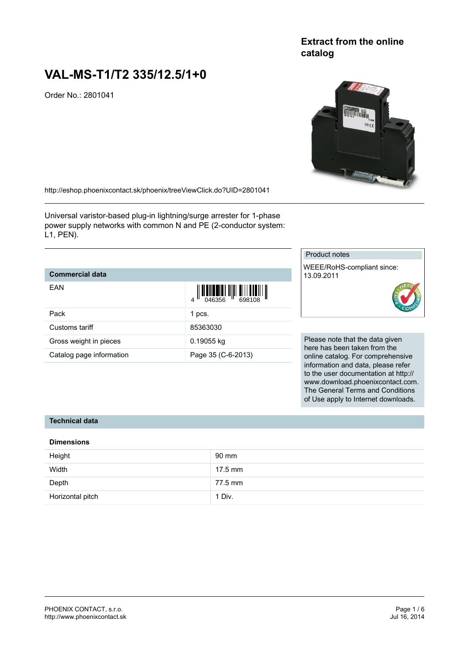## **Extract from the online catalog**

# **VAL-MS-T1/T2 335/12.5/1+0**

Order No.: 2801041



<http://eshop.phoenixcontact.sk/phoenix/treeViewClick.do?UID=2801041>

Universal varistor-based plug-in lightning/surge arrester for 1-phase power supply networks with common N and PE (2-conductor system: L1, PEN).

## **Commercial data**

| EAN                      |                    |                     |
|--------------------------|--------------------|---------------------|
| Pack                     | 1 pcs.             |                     |
| Customs tariff           | 85363030           |                     |
| Gross weight in pieces   | 0.19055 kg         | Please              |
| Catalog page information | Page 35 (C-6-2013) | here ha<br>online o |

## Product notes

WEEE/RoHS-compliant since: 13.09.2011

#### note that the data given as been taken from the catalog. For comprehensive information and data, please refer to the user documentation at http:// www.download.phoenixcontact.com. The General Terms and Conditions of Use apply to Internet downloads.

#### **Technical data**

#### **Dimensions**

| Height           | 90 mm   |
|------------------|---------|
| Width            | 17.5 mm |
| Depth            | 77.5 mm |
| Horizontal pitch | 1 Div.  |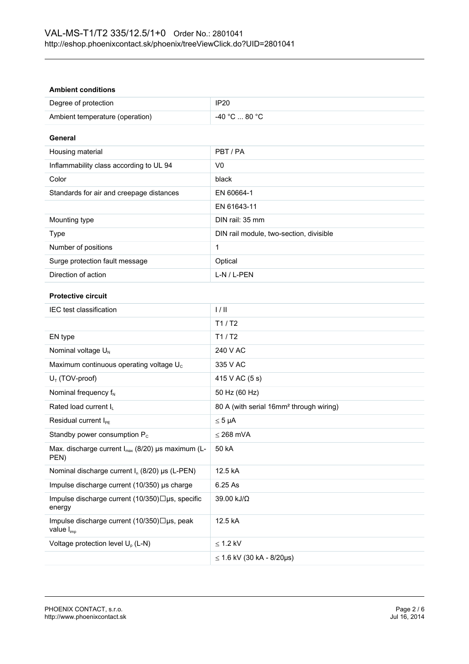#### **Ambient conditions**

| Degree of protection            | IP <sub>20</sub> |
|---------------------------------|------------------|
| Ambient temperature (operation) | -40 °C  80 °C    |

#### **General**

| Housing material                         | PBT/PA                                  |
|------------------------------------------|-----------------------------------------|
| Inflammability class according to UL 94  | V0                                      |
| Color                                    | black                                   |
| Standards for air and creepage distances | EN 60664-1                              |
|                                          | EN 61643-11                             |
| Mounting type                            | DIN rail: 35 mm                         |
| Type                                     | DIN rail module, two-section, divisible |
| Number of positions                      |                                         |
| Surge protection fault message           | Optical                                 |
| Direction of action                      | L-N / L-PEN                             |

#### **Protective circuit**

| <b>IEC</b> test classification                                              | 1/11                                                |
|-----------------------------------------------------------------------------|-----------------------------------------------------|
|                                                                             | T1/ T2                                              |
| EN type                                                                     | T1/ T2                                              |
| Nominal voltage $U_N$                                                       | 240 V AC                                            |
| Maximum continuous operating voltage U <sub>c</sub>                         | 335 V AC                                            |
| $U_T$ (TOV-proof)                                                           | 415 V AC (5 s)                                      |
| Nominal frequency $f_N$                                                     | 50 Hz (60 Hz)                                       |
| Rated load current I <sub>I</sub>                                           | 80 A (with serial 16mm <sup>2</sup> through wiring) |
| Residual current I <sub>PE</sub>                                            | $\leq 5 \mu A$                                      |
| Standby power consumption $P_c$                                             | $<$ 268 mVA                                         |
| Max. discharge current $I_{max}$ (8/20) µs maximum (L-<br>PEN)              | 50 kA                                               |
| Nominal discharge current $I_n$ (8/20) µs (L-PEN)                           | 12.5 kA                                             |
| Impulse discharge current (10/350) µs charge                                | 6.25 As                                             |
| Impulse discharge current (10/350)□µs, specific<br>energy                   | 39.00 kJ/Ω                                          |
| Impulse discharge current $(10/350)\Box$ us, peak<br>value $I_{\text{imp}}$ | 12.5 kA                                             |
| Voltage protection level $U_p$ (L-N)                                        | $\leq$ 1.2 kV                                       |
|                                                                             | $≤ 1.6$ kV (30 kA - 8/20µs)                         |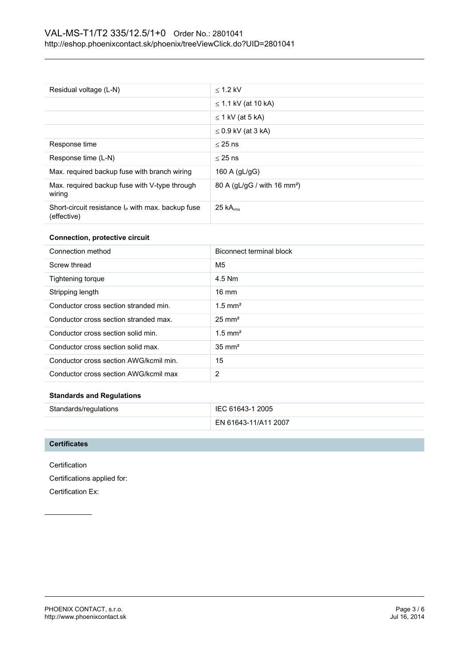| Residual voltage (L-N)                                                    | $<$ 1.2 kV                              |
|---------------------------------------------------------------------------|-----------------------------------------|
|                                                                           | $\leq$ 1.1 kV (at 10 kA)                |
|                                                                           | $\leq$ 1 kV (at 5 kA)                   |
|                                                                           | $\leq$ 0.9 kV (at 3 kA)                 |
| Response time                                                             | $<$ 25 ns                               |
| Response time (L-N)                                                       | $<$ 25 ns                               |
| Max. required backup fuse with branch wiring                              | 160 A $(gL/gG)$                         |
| Max. required backup fuse with V-type through<br>wiring                   | 80 A (gL/gG / with 16 mm <sup>2</sup> ) |
| Short-circuit resistance $I_{\rm P}$ with max. backup fuse<br>(effective) | $25 kA_{rms}$                           |

#### **Connection, protective circuit**

| Connection method                      | Biconnect terminal block |
|----------------------------------------|--------------------------|
| Screw thread                           | M <sub>5</sub>           |
| Tightening torque                      | 4.5 Nm                   |
| Stripping length                       | $16 \text{ mm}$          |
| Conductor cross section stranded min.  | $1.5$ mm <sup>2</sup>    |
| Conductor cross section stranded max.  | $25 \text{ mm}^2$        |
| Conductor cross section solid min.     | $1.5$ mm <sup>2</sup>    |
| Conductor cross section solid max.     | $35 \text{ mm}^2$        |
| Conductor cross section AWG/kcmil min. | 15                       |
| Conductor cross section AWG/kcmil max  | 2                        |

#### **Standards and Regulations**

| Standards/regulations | IEC 61643-1 2005     |
|-----------------------|----------------------|
|                       | EN 61643-11/A11 2007 |

#### **Certificates**

Certification Certifications applied for: Certification Ex: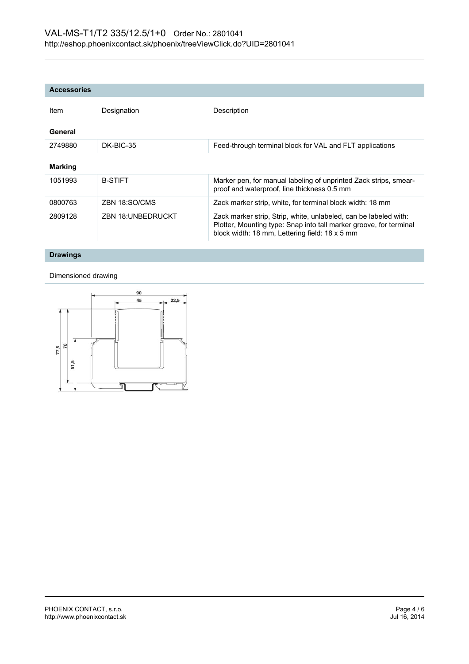| <b>Accessories</b> |                          |                                                                                                                                                                                          |
|--------------------|--------------------------|------------------------------------------------------------------------------------------------------------------------------------------------------------------------------------------|
| Item               | Designation              | Description                                                                                                                                                                              |
| General            |                          |                                                                                                                                                                                          |
| 2749880            | DK-BIC-35                | Feed-through terminal block for VAL and FLT applications                                                                                                                                 |
| <b>Marking</b>     |                          |                                                                                                                                                                                          |
| 1051993            | <b>B-STIFT</b>           | Marker pen, for manual labeling of unprinted Zack strips, smear-<br>proof and waterproof, line thickness 0.5 mm                                                                          |
| 0800763            | ZBN 18:SO/CMS            | Zack marker strip, white, for terminal block width: 18 mm                                                                                                                                |
| 2809128            | <b>ZBN 18:UNBEDRUCKT</b> | Zack marker strip, Strip, white, unlabeled, can be labeled with:<br>Plotter, Mounting type: Snap into tall marker groove, for terminal<br>block width: 18 mm, Lettering field: 18 x 5 mm |

## **Drawings**

Dimensioned drawing

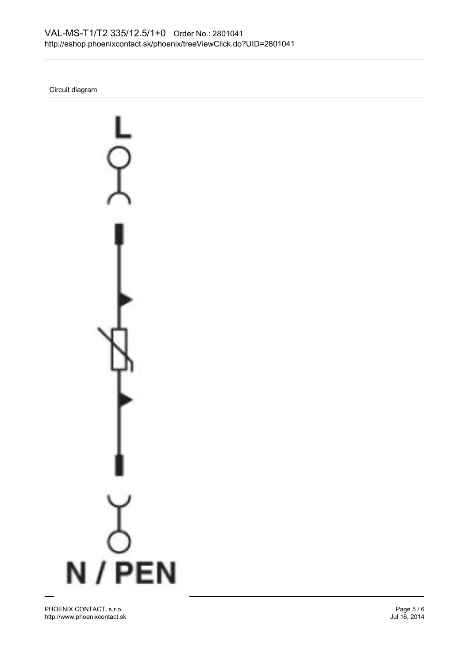Circuit diagram